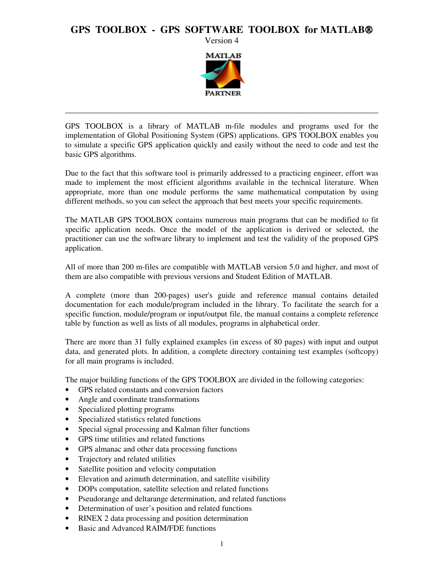# **GPS TOOLBOX - GPS SOFTWARE TOOLBOX for MATLAB**

Version 4



GPS TOOLBOX is a library of MATLAB m-file modules and programs used for the implementation of Global Positioning System (GPS) applications. GPS TOOLBOX enables you to simulate a specific GPS application quickly and easily without the need to code and test the basic GPS algorithms.

\_\_\_\_\_\_\_\_\_\_\_\_\_\_\_\_\_\_\_\_\_\_\_\_\_\_\_\_\_\_\_\_\_\_\_\_\_\_\_\_\_\_\_\_\_\_\_\_\_\_\_\_\_\_\_\_\_\_\_\_\_\_\_\_\_\_\_\_\_\_\_\_

Due to the fact that this software tool is primarily addressed to a practicing engineer, effort was made to implement the most efficient algorithms available in the technical literature. When appropriate, more than one module performs the same mathematical computation by using different methods, so you can select the approach that best meets your specific requirements.

The MATLAB GPS TOOLBOX contains numerous main programs that can be modified to fit specific application needs. Once the model of the application is derived or selected, the practitioner can use the software library to implement and test the validity of the proposed GPS application.

All of more than 200 m-files are compatible with MATLAB version 5.0 and higher, and most of them are also compatible with previous versions and Student Edition of MATLAB.

A complete (more than 200-pages) user's guide and reference manual contains detailed documentation for each module/program included in the library. To facilitate the search for a specific function, module/program or input/output file, the manual contains a complete reference table by function as well as lists of all modules, programs in alphabetical order.

There are more than 31 fully explained examples (in excess of 80 pages) with input and output data, and generated plots. In addition, a complete directory containing test examples (softcopy) for all main programs is included.

The major building functions of the GPS TOOLBOX are divided in the following categories:

- GPS related constants and conversion factors
- Angle and coordinate transformations
- Specialized plotting programs
- Specialized statistics related functions
- Special signal processing and Kalman filter functions
- GPS time utilities and related functions
- GPS almanac and other data processing functions
- Trajectory and related utilities
- Satellite position and velocity computation
- Elevation and azimuth determination, and satellite visibility
- DOPs computation, satellite selection and related functions
- Pseudorange and deltarange determination, and related functions
- Determination of user's position and related functions
- RINEX 2 data processing and position determination
- Basic and Advanced RAIM/FDE functions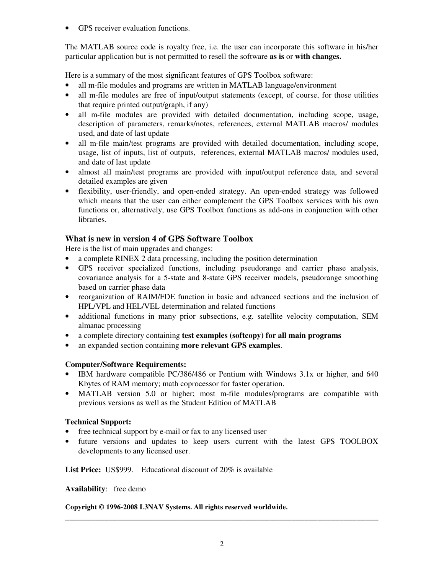• GPS receiver evaluation functions.

The MATLAB source code is royalty free, i.e. the user can incorporate this software in his/her particular application but is not permitted to resell the software **as is** or **with changes.** 

Here is a summary of the most significant features of GPS Toolbox software:

- all m-file modules and programs are written in MATLAB language/environment
- all m-file modules are free of input/output statements (except, of course, for those utilities that require printed output/graph, if any)
- all m-file modules are provided with detailed documentation, including scope, usage, description of parameters, remarks/notes, references, external MATLAB macros/ modules used, and date of last update
- all m-file main/test programs are provided with detailed documentation, including scope, usage, list of inputs, list of outputs, references, external MATLAB macros/ modules used, and date of last update
- almost all main/test programs are provided with input/output reference data, and several detailed examples are given
- flexibility, user-friendly, and open-ended strategy. An open-ended strategy was followed which means that the user can either complement the GPS Toolbox services with his own functions or, alternatively, use GPS Toolbox functions as add-ons in conjunction with other libraries.

# **What is new in version 4 of GPS Software Toolbox**

Here is the list of main upgrades and changes:

- a complete RINEX 2 data processing, including the position determination
- GPS receiver specialized functions, including pseudorange and carrier phase analysis, covariance analysis for a 5-state and 8-state GPS receiver models, pseudorange smoothing based on carrier phase data
- reorganization of RAIM/FDE function in basic and advanced sections and the inclusion of HPL/VPL and HEL/VEL determination and related functions
- additional functions in many prior subsections, e.g. satellite velocity computation, SEM almanac processing
- a complete directory containing **test examples (softcopy) for all main programs**
- an expanded section containing **more relevant GPS examples**.

# **Computer/Software Requirements:**

- IBM hardware compatible PC/386/486 or Pentium with Windows 3.1x or higher, and 640 Kbytes of RAM memory; math coprocessor for faster operation.
- MATLAB version 5.0 or higher; most m-file modules/programs are compatible with previous versions as well as the Student Edition of MATLAB

### **Technical Support:**

- free technical support by e-mail or fax to any licensed user
- future versions and updates to keep users current with the latest GPS TOOLBOX developments to any licensed user.

**List Price:** US\$999.Educational discount of 20% is available

**Availability**: free demo

### **Copyright © 1996-2008 L3NAV Systems. All rights reserved worldwide.**

\_\_\_\_\_\_\_\_\_\_\_\_\_\_\_\_\_\_\_\_\_\_\_\_\_\_\_\_\_\_\_\_\_\_\_\_\_\_\_\_\_\_\_\_\_\_\_\_\_\_\_\_\_\_\_\_\_\_\_\_\_\_\_\_\_\_\_\_\_\_\_\_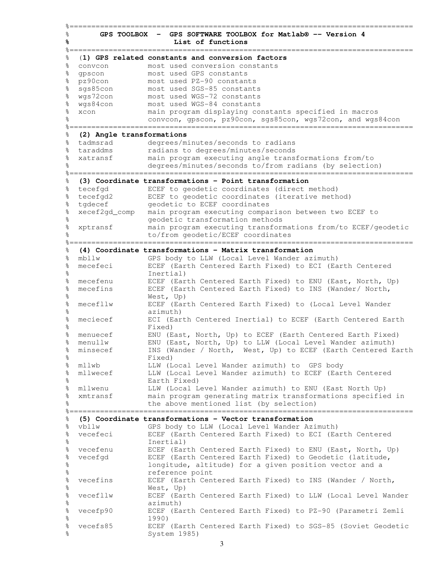% **GPS TOOLBOX - GPS SOFTWARE TOOLBOX for Matlab® -- Version 4 % List of functions** %=============================================================================== % (**1) GPS related constants and conversion factors** % convcon most used conversion constants % gpscon most used GPS constants % pz90con most used PZ-90 constants % sgs85con most used SGS-85 constants % wgs72con most used WGS-72 constants % wgs84con most used WGS-84 constants<br>% xcon main program displaying co % xcon main program displaying constants specified in macros<br>% CODVCOD SPSCOD RZ<sup>90</sup>COD SGS85con WGS72con and WGS convcon, gpscon, pz90con, sgs85con, wgs72con, and wgs84con %=============================================================================== % **(2) Angle transformations** % tadmsrad degrees/minutes/seconds to radians % taraddms radians to degrees/minutes/seconds % xatransf main program executing angle transformations from/to % degrees/minutes/seconds to/from radians (by selection) %=============================================================================== % **(3) Coordinate transformations - Point transformation** % tecefgd ECEF to geodetic coordinates (direct method) % tecefgd2 ECEF to geodetic coordinates (iterative method) % tgdecef geodetic to ECEF coordinates % xecef2gd\_comp main program executing comparison between two ECEF to % geodetic transformation methods % xptransf main program executing transformations from/to ECEF/geodetic % to/from geodetic/ECEF coordinates %=============================================================================== % **(4) Coordinate transformations - Matrix transformation** % mbllw GPS body to LLW (Local Level Wander azimuth) % mecefeci ECEF (Earth Centered Earth Fixed) to ECI (Earth Centered % Inertial) % mecefenu ECEF (Earth Centered Earth Fixed) to ENU (East, North, Up) % mecefins ECEF (Earth Centered Earth Fixed) to INS (Wander/ North, % West, Up) % mecefllw ECEF (Earth Centered Earth Fixed) to (Local Level Wander % azimuth) % meciecef ECI (Earth Centered Inertial) to ECEF (Earth Centered Earth % Fixed) % menuecef ENU (East, North, Up) to ECEF (Earth Centered Earth Fixed) % menullw ENU (East, North, Up) to LLW (Local Level Wander azimuth) % minsecef INS (Wander / North, West, Up) to ECEF (Earth Centered Earth % Fixed) % mllwb LLW (Local Level Wander azimuth) to GPS body % mllwecef LLW (Local Level Wander azimuth) to ECEF (Earth Centered % Earth Fixed) % mllwenu LLW (Local Level Wander azimuth) to ENU (East North Up) % xmtransf main program generating matrix transformations specified in % the above mentioned list (by selection) %=============================================================================== % **(5) Coordinate transformations - Vector transformation** % vbllw GPS body to LLW (Local Level Wander Azimuth) % vecefeci ECEF (Earth Centered Earth Fixed) to ECI (Earth Centered % Inertial) % vecefenu ECEF (Earth Centered Earth Fixed) to ENU (East, North, Up) % vecefgd ECEF (Earth Centered Earth Fixed) to Geodetic (latitude, % longitude, altitude) for a given position vector and a % reference point % vecefins ECEF (Earth Centered Earth Fixed) to INS (Wander / North, % West, Up) % vecefllw ECEF (Earth Centered Earth Fixed) to LLW (Local Level Wander % azimuth) % vecefp90 ECEF (Earth Centered Earth Fixed) to PZ-90 (Parametri Zemli % 1990) % vecefs85 ECEF (Earth Centered Earth Fixed) to SGS-85 (Soviet Geodetic System 1985)

%===============================================================================

3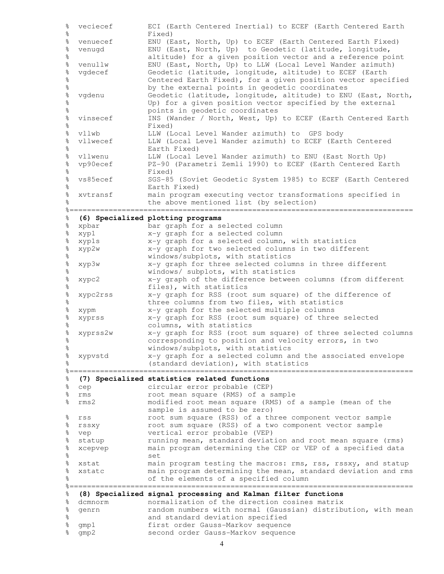% veciecef ECI (Earth Centered Inertial) to ECEF (Earth Centered Earth % Fixed) % venuecef ENU (East, North, Up) to ECEF (Earth Centered Earth Fixed) % venugd ENU (East, North, Up) to Geodetic (latitude, longitude, % altitude) for a given position vector and a reference point % venullw ENU (East, North, Up) to LLW (Local Level Wander azimuth) % vgdecef Geodetic (latitude, longitude, altitude) to ECEF (Earth % Centered Earth Fixed), for a given position vector specified % by the external points in geodetic coordinates vgdenu Geodetic (latitude, longitude, altitude) to ENU (East, North, % Up) for a given position vector specified by the external % points in geodetic coordinates % vinsecef INS (Wander / North, West, Up) to ECEF (Earth Centered Earth % Fixed) % vllwb LLW (Local Level Wander azimuth) to GPS body % vllwecef LLW (Local Level Wander azimuth) to ECEF (Earth Centered % Earth Fixed) % vllwenu LLW (Local Level Wander azimuth) to ENU (East North Up) % vp90ecef PZ-90 (Parametri Zemli 1990) to ECEF (Earth Centered Earth % Fixed) % vs85ecef SGS-85 (Soviet Geodetic System 1985) to ECEF (Earth Centered % Earth Fixed) % xvtransf main program executing vector transformations specified in % the above mentioned list (by selection) %=============================================================================== % **(6) Specialized plotting programs** % xpbar bar graph for a selected column % xyp1 x-y graph for a selected column % xyp1s x-y graph for a selected column, with statistics % xyp2w x-y graph for two selected columns in two different % windows/subplots, with statistics % xyp3w x-y graph for three selected columns in three different % windows/ subplots, with statistics % xypc2 x-y graph of the difference between columns (from different % files), with statistics % xypc2rss x-y graph for RSS (root sum square) of the difference of % three columns from two files, with statistics % xypm x-y graph for the selected multiple columns % xyprss x-y graph for RSS (root sum square) of three selected % columns, with statistics % xyprss2w x-y graph for RSS (root sum square) of three selected columns % corresponding to position and velocity errors, in two % windows/subplots, with statistics % xypvstd x-y graph for a selected column and the associated envelope % (standard deviation), with statistics %=============================================================================== % **(7) Specialized statistics related functions** % cep circular error probable (CEP) % rms root mean square (RMS) of a sample % rms2 modified root mean square (RMS) of a sample (mean of the sample is assumed to be zero) % rss root sum square (RSS) of a three component vector sample % rssxy root sum square (RSS) of a two component vector sample % vep vertical error probable (VEP) % statup running mean, standard deviation and root mean square (rms) % xcepvep main program determining the CEP or VEP of a specified data % set % xstat main program testing the macros: rms, rss, rssxy, and statup % xstatc main program determining the mean, standard deviation and rms % of the elements of a specified column %=============================================================================== % **(8) Specialized signal processing and Kalman filter functions** % dcmnorm normalization of the direction cosines matrix random numbers with normal (Gaussian) distribution, with mean %<br>% and standard deviation specified<br>% and first order Gauss-Markov sequence<br>% and order Gauss-Markov sequence first order Gauss-Markov sequence % gmp2 second order Gauss-Markov sequence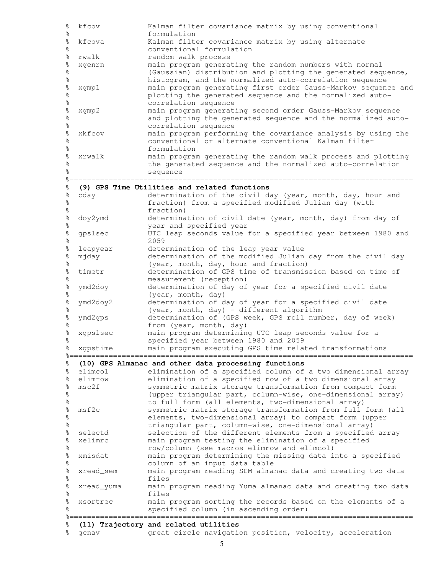| $\%$                                         | kfcov                   | Kalman filter covariance matrix by using conventional                                                           |
|----------------------------------------------|-------------------------|-----------------------------------------------------------------------------------------------------------------|
| $\frac{6}{\sqrt{2}}$<br>$\frac{6}{5}$        | kfcova                  | formulation<br>Kalman filter covariance matrix by using alternate                                               |
| o <sub>o</sub>                               |                         | conventional formulation                                                                                        |
| $\frac{1}{\sqrt{2}}$                         | rwalk                   | random walk process                                                                                             |
|                                              | xgenrn                  | main program generating the random numbers with normal                                                          |
| olo olo                                      |                         | (Gaussian) distribution and plotting the generated sequence,                                                    |
| o <sub>o</sub>                               |                         | histogram, and the normalized auto-correlation sequence                                                         |
|                                              | xgmp1                   | main program generating first order Gauss-Markov sequence and                                                   |
|                                              |                         | plotting the generated sequence and the normalized auto-                                                        |
|                                              |                         | correlation sequence<br>main program generating second order Gauss-Markov sequence                              |
| ale ale ale ale ale                          | xgmp2                   | and plotting the generated sequence and the normalized auto-                                                    |
| $\frac{1}{\sqrt{2}}$                         |                         | correlation sequence                                                                                            |
|                                              | xkfcov                  | main program performing the covariance analysis by using the                                                    |
| olo olo                                      |                         | conventional or alternate conventional Kalman filter                                                            |
| $\frac{6}{5}$                                |                         | formulation                                                                                                     |
| olo olo                                      | xrwalk                  | main program generating the random walk process and plotting                                                    |
|                                              |                         | the generated sequence and the normalized auto-correlation                                                      |
| ိစ                                           |                         | sequence                                                                                                        |
| $\frac{1}{\delta}$                           |                         | (9) GPS Time Utilities and related functions                                                                    |
| $\frac{1}{\delta}$                           | cday                    | determination of the civil day (year, month, day, hour and                                                      |
| $\%$                                         |                         | fraction) from a specified modified Julian day (with                                                            |
| $\frac{1}{6}$                                |                         | fraction)                                                                                                       |
| olo olo                                      | doy2ymd                 | determination of civil date (year, month, day) from day of                                                      |
|                                              |                         | year and specified year<br>UTC leap seconds value for a specified year between 1980 and                         |
| olo olo                                      | gpslsec                 | 2059                                                                                                            |
| $\frac{1}{\sqrt{2}}$                         | leapyear                | determination of the leap year value                                                                            |
| $\frac{1}{6}$                                | mjday                   | determination of the modified Julian day from the civil day                                                     |
| $\frac{1}{\sqrt{2}}$                         |                         | (year, month, day, hour and fraction)                                                                           |
| $\frac{1}{6}$                                | timetr                  | determination of GPS time of transmission based on time of                                                      |
| $\frac{1}{6}$                                |                         | measurement (reception)                                                                                         |
| $\frac{1}{\sqrt{2}}$                         | ymd2doy                 | determination of day of year for a specified civil date                                                         |
| $\frac{1}{\sqrt{2}}$<br>$\frac{1}{\sqrt{2}}$ |                         | (year, month, day)                                                                                              |
| $\frac{1}{\sqrt{2}}$                         | ymd2doy2                | determination of day of year for a specified civil date<br>(year, month, day) - different algorithm             |
| $\frac{1}{\sqrt{2}}$                         | ymd2gps                 | determination of (GPS week, GPS roll number, day of week)                                                       |
| $\%$                                         |                         | from (year, month, day)                                                                                         |
| $\%$                                         | xgpslsec                | main program determining UTC leap seconds value for a                                                           |
| o <sub>o</sub>                               |                         | specified year between 1980 and 2059                                                                            |
|                                              | % xgpstime              | main program executing GPS time related transformations                                                         |
| ್ಠಿ                                          | %=========<br>========= | (10) GPS Almanac and other data processing functions                                                            |
| ್ಠಿ                                          | elimcol                 | elimination of a specified column of a two dimensional array                                                    |
| $\%$                                         | elimrow                 | elimination of a specified row of a two dimensional array                                                       |
| $\frac{1}{6}$                                | msc2f                   | symmetric matrix storage transformation from compact form                                                       |
| $\frac{1}{\sqrt{2}}$                         |                         | (upper triangular part, column-wise, one-dimensional array)                                                     |
| $\frac{6}{\sqrt{2}}$                         |                         | to full form (all elements, two-dimensional array)                                                              |
| olo olo                                      | msf2c                   | symmetric matrix storage transformation from full form (all                                                     |
| $\frac{1}{\sqrt{2}}$                         |                         | elements, two-dimensional array) to compact form (upper<br>triangular part, column-wise, one-dimensional array) |
|                                              | selectd                 | selection of the different elements from a specified array                                                      |
| olo olo                                      | xelimrc                 | main program testing the elimination of a specified                                                             |
| $\frac{1}{\sqrt{2}}$                         |                         | row/column (see macros elimrow and elimcol)                                                                     |
| $\%$                                         | xmisdat                 | main program determining the missing data into a specified                                                      |
| $\frac{6}{\sqrt{2}}$                         |                         | column of an input data table                                                                                   |
| olo olo                                      | xread_sem               | main program reading SEM almanac data and creating two data                                                     |
|                                              |                         | files                                                                                                           |
| olo olo                                      | xread_yuma              | main program reading Yuma almanac data and creating two data<br>files                                           |
| $\frac{1}{\sqrt{2}}$                         | xsortrec                | main program sorting the records based on the elements of a                                                     |
| $\frac{6}{\sqrt{2}}$                         |                         | specified column (in ascending order)                                                                           |
|                                              |                         |                                                                                                                 |
| ిం                                           |                         | (11) Trajectory and related utilities                                                                           |
| ిం                                           | gcnav                   | great circle navigation position, velocity, acceleration                                                        |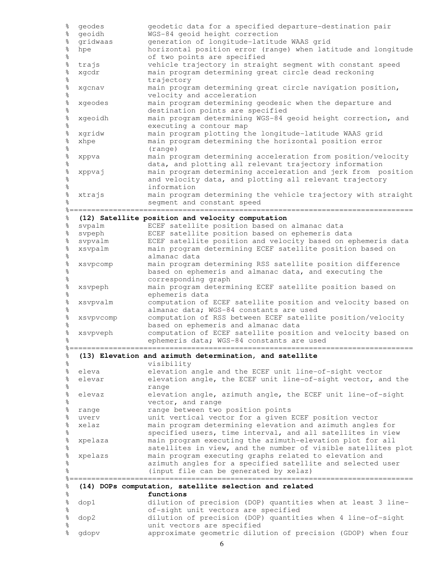| ್ಠ<br>ಂ                   | geodes                  | geodetic data for a specified departure-destination pair                                          |
|---------------------------|-------------------------|---------------------------------------------------------------------------------------------------|
| ిం                        | geoidh                  | WGS-84 geoid height correction                                                                    |
| ್ಠ<br>ಂ                   | gridwaas                | generation of longitude-latitude WAAS grid                                                        |
| $\frac{1}{\sqrt{2}}$      | hpe                     | horizontal position error (range) when latitude and longitude                                     |
| ৡ<br>ৡ                    | trajs                   | of two points are specified<br>vehicle trajectory in straight segment with constant speed         |
| ৡ                         | xgcdr                   | main program determining great circle dead reckoning                                              |
| ৡ                         |                         | trajectory                                                                                        |
|                           | xgcnav                  | main program determining great circle navigation position,                                        |
| olo olo                   |                         | velocity and acceleration                                                                         |
| olo olo                   | xgeodes                 | main program determining geodesic when the departure and                                          |
|                           |                         | destination points are specified                                                                  |
| olo olo                   | xgeoidh                 | main program determining WGS-84 geoid height correction, and                                      |
|                           |                         | executing a contour map                                                                           |
| ৡ                         | xgridw                  | main program plotting the longitude-latitude WAAS grid                                            |
| ৡ<br>$\frac{1}{\sqrt{2}}$ | xhpe                    | main program determining the horizontal position error                                            |
| $\frac{6}{5}$             | xppva                   | (range)<br>main program determining acceleration from position/velocity                           |
| $\frac{1}{\sqrt{2}}$      |                         | data, and plotting all relevant trajectory information                                            |
|                           | xppvaj                  | main program determining acceleration and jerk from position                                      |
| olo olo                   |                         | and velocity data, and plotting all relevant trajectory                                           |
| $\frac{6}{5}$             |                         | information                                                                                       |
| g<br>o                    | xtrajs                  | main program determining the vehicle trajectory with straight                                     |
|                           |                         | seqment and constant speed                                                                        |
|                           |                         | .========================                                                                         |
| 응<br>ిం                   | svpalm                  | (12) Satellite position and velocity computation<br>ECEF satellite position based on almanac data |
| ್ಠಿ                       | svpeph                  | ECEF satellite position based on ephemeris data                                                   |
| %                         | svpvalm                 | ECEF satellite position and velocity based on ephemeris data                                      |
|                           | xsvpalm                 | main program determining ECEF satellite position based on                                         |
| olo olo                   |                         | almanac data                                                                                      |
| olo olo                   | xsvpcomp                | main program determining RSS satellite position difference                                        |
|                           |                         | based on ephemeris and almanac data, and executing the                                            |
| ৡ                         |                         | corresponding graph                                                                               |
| olo olo                   | xsvpeph                 | main program determining ECEF satellite position based on<br>ephemeris data                       |
| $\frac{6}{5}$             | xsvpvalm                | computation of ECEF satellite position and velocity based on                                      |
| g<br>o                    |                         | almanac data; WGS-84 constants are used                                                           |
| %                         | xsvpvcomp               | computation of RSS between ECEF satellite position/velocity                                       |
| ৡ                         |                         | based on ephemeris and almanac data                                                               |
| °                         | xsvpveph                | computation of ECEF satellite position and velocity based on                                      |
|                           |                         | ephemeris data; WGS-84 constants are used                                                         |
| ిం                        |                         | (13) Elevation and azimuth determination, and satellite                                           |
| ిం                        |                         | visibility                                                                                        |
| ৡ                         | eleva                   | elevation angle and the ECEF unit line-of-sight vector                                            |
| ৡ                         | elevar                  | elevation angle, the ECEF unit line-of-sight vector, and the                                      |
| ৡ                         |                         | range                                                                                             |
| ৡ                         | elevaz                  | elevation angle, azimuth angle, the ECEF unit line-of-sight                                       |
| o<br>Po                   |                         | vector, and range                                                                                 |
| ৡ<br>್ಠ<br>ಂ              | range<br>uverv          | range between two position points<br>unit vertical vector for a given ECEF position vector        |
| ৡ                         | xelaz                   | main program determining elevation and azimuth angles for                                         |
| కి                        |                         | specified users, time interval, and all satellites in view                                        |
| ৡ                         | xpelaza                 | main program executing the azimuth-elevation plot for all                                         |
| ৡ                         |                         | satellites in view, and the number of visible satellites plot                                     |
| %                         | xpelazs                 | main program executing graphs related to elevation and                                            |
| ిం                        |                         | azimuth angles for a specified satellite and selected user                                        |
| ್ಠ                        | $\frac{6}{6}$ = = = = = | (input file can be generated by xelaz)                                                            |
| ిం                        |                         | (14) DOPs computation, satellite selection and related                                            |
| ್ಠಿ                       |                         | functions                                                                                         |
| °€                        | dop1                    | dilution of precision (DOP) quantities when at least 3 line-                                      |
| °                         |                         | of-sight unit vectors are specified                                                               |
| °                         | dop2                    | dilution of precision (DOP) quantities when 4 line-of-sight                                       |
| °<br>o<br>To              |                         | unit vectors are specified                                                                        |
|                           | gdopv                   | approximate geometric dilution of precision (GDOP) when four                                      |

6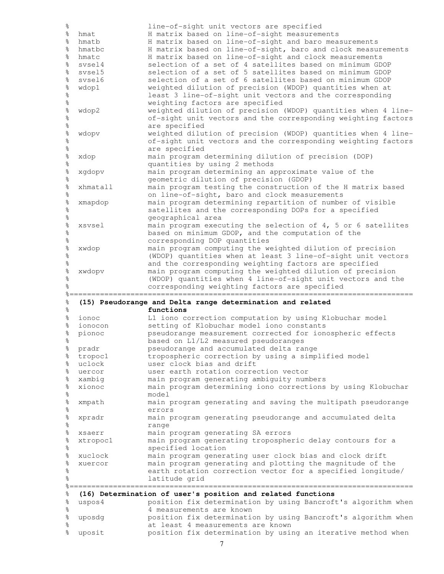| $\frac{1}{\sqrt{2}}$      |             | line-of-sight unit vectors are specified                                                                     |
|---------------------------|-------------|--------------------------------------------------------------------------------------------------------------|
| ್ಠಿ                       | hmat        | H matrix based on line-of-sight measurements                                                                 |
| ್ಠಿ                       | hmatb       | H matrix based on line-of-sight and baro measurements                                                        |
| °                         | hmatbc      | H matrix based on line-of-sight, baro and clock measurements                                                 |
| ৡ                         | hmatc       | H matrix based on line-of-sight and clock measurements                                                       |
| ್ಠಿ                       | svsel4      | selection of a set of 4 satellites based on minimum GDOP                                                     |
| $\frac{1}{\sqrt{2}}$      | svsel5      | selection of a set of 5 satellites based on minimum GDOP                                                     |
| $\frac{1}{\sqrt{2}}$      | svsel6      | selection of a set of 6 satellites based on minimum GDOP                                                     |
|                           | wdop1       | weighted dilution of precision (WDOP) quantities when at                                                     |
| olo olo olo               |             | least 3 line-of-sight unit vectors and the corresponding                                                     |
|                           |             | weighting factors are specified                                                                              |
| olo olo                   | wdop2       | weighted dilution of precision (WDOP) quantities when 4 line-                                                |
|                           |             | of-sight unit vectors and the corresponding weighting factors                                                |
| °                         |             | are specified                                                                                                |
| olo olo                   | wdopv       | weighted dilution of precision (WDOP) quantities when 4 line-                                                |
|                           |             | of-sight unit vectors and the corresponding weighting factors                                                |
| °                         |             | are specified                                                                                                |
| olo olo                   | xdop        | main program determining dilution of precision (DOP)                                                         |
|                           |             | quantities by using 2 methods                                                                                |
| olo olo                   | xgdopv      | main program determining an approximate value of the                                                         |
|                           | xhmatall    | geometric dilution of precision (GDOP)<br>main program testing the construction of the H matrix based        |
| olo olo                   |             | on line-of-sight, baro and clock measurements                                                                |
|                           | xmapdop     | main program determining repartition of number of visible                                                    |
| olo olo                   |             | satellites and the corresponding DOPs for a specified                                                        |
|                           |             | geographical area                                                                                            |
| olo olo olo               | xsvsel      | main program executing the selection of 4, 5 or 6 satellites                                                 |
|                           |             | based on minimum GDOP, and the computation of the                                                            |
| o <sub>o</sub>            |             | corresponding DOP quantities                                                                                 |
|                           | xwdop       | main program computing the weighted dilution of precision                                                    |
| olo olo                   |             | (WDOP) quantities when at least 3 line-of-sight unit vectors                                                 |
| $\frac{6}{5}$             |             | and the corresponding weighting factors are specified                                                        |
| olo olo                   | xwdopv      | main program computing the weighted dilution of precision                                                    |
|                           |             |                                                                                                              |
|                           |             |                                                                                                              |
|                           |             | (WDOP) quantities when 4 line-of-sight unit vectors and the<br>corresponding weighting factors are specified |
|                           |             |                                                                                                              |
| ৡ                         |             | (15) Pseudorange and Delta range determination and related                                                   |
| ိစ                        |             | functions                                                                                                    |
| ್ಠಿ                       | ionoc       | L1 iono correction computation by using Klobuchar model                                                      |
| ್ಠಿ                       | ionocon     | setting of Klobuchar model iono constants                                                                    |
| ৡ                         | pionoc      | pseudorange measurement corrected for ionospheric effects                                                    |
| ್ಠಿ                       |             | based on L1/L2 measured pseudoranges                                                                         |
|                           | % pradr     | pseudorange and accumulated delta range                                                                      |
| ್ಠಿ                       | tropoc1     | tropospheric correction by using a simplified model                                                          |
| ిం                        | uclock      | user clock bias and drift                                                                                    |
| $\frac{1}{\sqrt{2}}$      | uercor      | user earth rotation correction vector                                                                        |
| °                         | xambig      | main program generating ambiguity numbers                                                                    |
|                           | xionoc      | main program determining iono corrections by using Klobuchar                                                 |
| $\frac{1}{\sqrt{2}}$<br>ৡ |             | model                                                                                                        |
|                           | xmpath      | main program generating and saving the multipath pseudorange                                                 |
| olo olo                   |             | errors                                                                                                       |
| $\frac{1}{\sqrt{2}}$      | xpradr      | main program generating pseudorange and accumulated delta<br>range                                           |
| ৡ                         | xsaerr      |                                                                                                              |
| °                         | xtropoc1    | main program generating SA errors<br>main program generating tropospheric delay contours for a               |
| $\frac{6}{5}$<br>ৡ        |             | specified location                                                                                           |
|                           | xuclock     | main program generating user clock bias and clock drift                                                      |
|                           | xuercor     | main program generating and plotting the magnitude of the                                                    |
|                           |             | earth rotation correction vector for a specified longitude/                                                  |
| ৡ<br>olo olo<br>ిం        |             | latitude grid                                                                                                |
|                           | ----------- | -------------------------------------                                                                        |
|                           |             | (16) Determination of user's position and related functions                                                  |
|                           | uspos4      | position fix determination by using Bancroft's algorithm when                                                |
|                           |             | 4 measurements are known                                                                                     |
|                           | uposdg      | position fix determination by using Bancroft's algorithm when                                                |
| ್ಠಿ<br>°€<br>ৡ<br>%<br>°  | uposit      | at least 4 measurements are known<br>position fix determination by using an iterative method when            |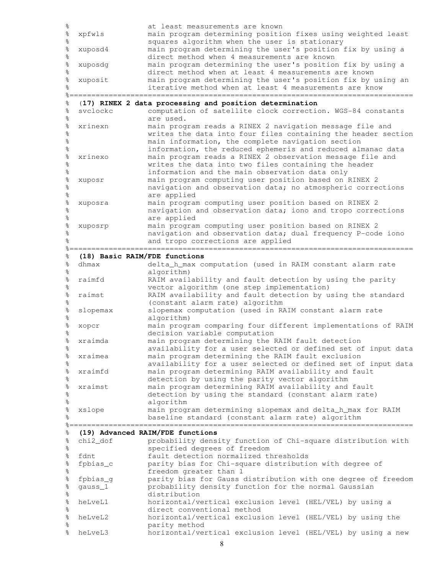| $\frac{6}{6}$                         |                               | at least measurements are known                                                                                        |
|---------------------------------------|-------------------------------|------------------------------------------------------------------------------------------------------------------------|
| olo olo                               | xpfwls                        | main program determining position fixes using weighted least                                                           |
|                                       |                               | squares algorithm when the user is stationary                                                                          |
| $\frac{1}{\sqrt{2}}$                  | xuposd4                       | main program determining the user's position fix by using a                                                            |
| $\frac{6}{5}$                         |                               | direct method when 4 measurements are known                                                                            |
| olo olo                               | xuposdg                       | main program determining the user's position fix by using a                                                            |
|                                       |                               | direct method when at least 4 measurements are known                                                                   |
| $\frac{6}{5}$<br>o<br>Po              | xuposit                       | main program determining the user's position fix by using an<br>iterative method when at least 4 measurements are know |
|                                       |                               | ====================                                                                                                   |
| ৡ                                     |                               | (17) RINEX 2 data processing and position determination                                                                |
| $\frac{1}{\sqrt{2}}$                  | svclockc                      | computation of satellite clock correction. WGS-84 constants                                                            |
| $\frac{6}{\sqrt{2}}$                  |                               | are used.                                                                                                              |
|                                       | xrinexn                       | main program reads a RINEX 2 navigation message file and                                                               |
| olo olo olo                           |                               | writes the data into four files containing the header section                                                          |
|                                       |                               | main information, the complete navigation section                                                                      |
| $\frac{1}{\sqrt{2}}$                  |                               | information, the reduced ephemeris and reduced almanac data                                                            |
|                                       | xrinexo                       | main program reads a RINEX 2 observation message file and                                                              |
| ale ale ale ale ale                   |                               | writes the data into two files containing the header                                                                   |
|                                       |                               | information and the main observation data only                                                                         |
|                                       | xuposr                        | main program computing user position based on RINEX 2<br>navigation and observation data; no atmospheric corrections   |
| $\frac{1}{\sqrt{2}}$                  |                               | are applied                                                                                                            |
|                                       | xuposra                       | main program computing user position based on RINEX 2                                                                  |
| olo olo                               |                               | navigation and observation data; iono and tropo corrections                                                            |
| $\frac{6}{\sqrt{2}}$                  |                               | are applied                                                                                                            |
|                                       | xuposrp                       | main program computing user position based on RINEX 2                                                                  |
| olo olo                               |                               | navigation and observation data; dual frequency P-code iono                                                            |
| o<br>O                                |                               | and tropo corrections are applied                                                                                      |
|                                       |                               |                                                                                                                        |
| ৡ                                     | (18) Basic RAIM/FDE functions |                                                                                                                        |
| ৡ                                     | dhmax                         | delta_h_max computation (used in RAIM constant alarm rate                                                              |
| $\frac{1}{\sqrt{2}}$                  | raimfd                        | algorithm)                                                                                                             |
| olo olo                               |                               | RAIM availability and fault detection by using the parity<br>vector algorithm (one step implementation)                |
|                                       | raimst                        | RAIM availability and fault detection by using the standard                                                            |
| olo olo                               |                               | (constant alarm rate) algorithm                                                                                        |
| $\frac{1}{\sqrt{2}}$                  | slopemax                      | slopemax computation (used in RAIM constant alarm rate                                                                 |
| $\frac{6}{5}$                         |                               | algorithm)                                                                                                             |
| olo olo                               | xopcr                         | main program comparing four different implementations of RAIM                                                          |
|                                       |                               | decision variable computation                                                                                          |
| နွ                                    | xraimda                       | main program determining the RAIM fault detection                                                                      |
| $\frac{6}{6}$                         |                               | availability for a user selected or defined set of input data                                                          |
| $\frac{6}{6}$<br>$\frac{6}{\sqrt{2}}$ | xraimea                       | main program determining the RAIM fault exclusion<br>availability for a user selected or defined set of input data     |
| $\frac{6}{6}$                         | xraimfd                       | main program determining RAIM availability and fault                                                                   |
| $\frac{6}{\sqrt{6}}$                  |                               | detection by using the parity vector algorithm                                                                         |
|                                       | xraimst                       | main program determining RAIM availability and fault                                                                   |
| olo olo                               |                               | detection by using the standard (constant alarm rate)                                                                  |
| $\frac{6}{5}$                         |                               | algorithm                                                                                                              |
| $\frac{1}{\sqrt{2}}$                  | xslope                        | main program determining slopemax and delta_h_max for RAIM                                                             |
| o <sub>o</sub>                        |                               | baseline standard (constant alarm rate) algorithm                                                                      |
|                                       |                               |                                                                                                                        |
| ిం                                    |                               | (19) Advanced RAIM/FDE functions                                                                                       |
| ್ಠಿ<br>$\frac{6}{\sqrt{6}}$           | chi2_dof                      | probability density function of Chi-square distribution with<br>specified degrees of freedom                           |
| $\%$                                  | fdnt                          | fault detection normalized thresholds                                                                                  |
| $\frac{6}{5}$                         | fpbias_c                      | parity bias for Chi-square distribution with degree of                                                                 |
| $\rm{^o\!s}$                          |                               | freedom greater than 1                                                                                                 |
| $\frac{6}{6}$                         | fpbias_g                      | parity bias for Gauss distribution with one degree of freedom                                                          |
| $\frac{1}{\sqrt{2}}$                  | gauss_1                       | probability density function for the normal Gaussian                                                                   |
| $\frac{1}{\sqrt{2}}$                  |                               | distribution                                                                                                           |
| $\frac{1}{\sqrt{2}}$                  | heLveL1                       | horizontal/vertical exclusion level (HEL/VEL) by using a                                                               |
| $\frac{1}{6}$                         |                               | direct conventional method                                                                                             |
| $\frac{6}{3}$                         | heLveL2                       | horizontal/vertical exclusion level (HEL/VEL) by using the                                                             |
| $\frac{6}{\sqrt{2}}$<br>$\frac{6}{6}$ | heLveL3                       | parity method<br>horizontal/vertical exclusion level (HEL/VEL) by using a new                                          |
|                                       |                               |                                                                                                                        |

8